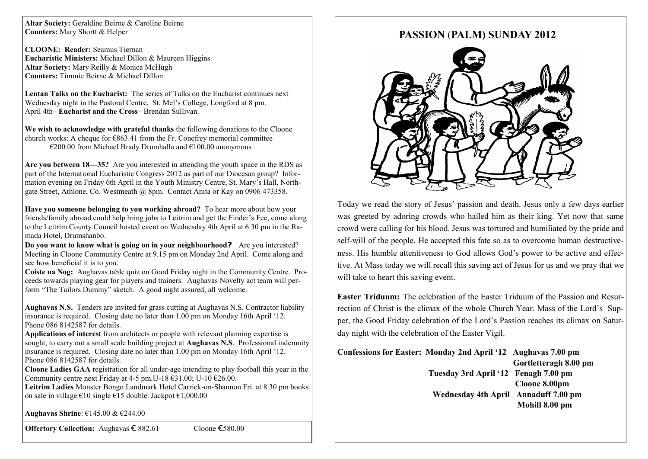**Altar Society:** Geraldine Beirne & Caroline Beirne **Counters:** Mary Shortt & Helper

**CLOONE: Reader:** Seamus Tiernan **Eucharistic Ministers:** Michael Dillon & Maureen Higgins **Altar Society:** Mary Reilly & Monica McHugh **Counters:** Timmie Beirne & Michael Dillon

**Lentan Talks on the Eucharist:** The series of Talks on the Eucharist continues next Wednesday night in the Pastoral Centre, St. Mel"s College, Longford at 8 pm. April 4th– **Eucharist and the Cross**– Brendan Sullivan.

**We wish to acknowledge with grateful thanks** the following donations to the Cloone church works: A cheque for  $\epsilon$ 863.41 from the Fr. Conefrey memorial committee  $\epsilon$ 200.00 from Michael Brady Drumhalla and  $\epsilon$ 100.00 anonymous

**Are you between 18—35?** Are you interested in attending the youth space in the RDS as part of the International Eucharistic Congress 2012 as part of our Diocesan group? Information evening on Friday 6th April in the Youth Ministry Centre, St. Mary"s Hall, Northgate Street, Athlone, Co. Westmeath @ 8pm. Contact Anita or Kay on 0906 473358.

**Have you someone belonging to you working abroad?** To hear more about how your friends/family abroad could help bring jobs to Leitrim and get the Finder"s Fee, come along to the Leitrim County Council hosted event on Wednesday 4th April at 6.30 pm in the Ramada Hotel, Drumshanbo.

**Do you want to know what is going on in your neighbourhood?** Are you interested? Meeting in Cloone Community Centre at 9.15 pm on Monday 2nd April. Come along and see how beneficial it is to you.

**Coiste na Nog:** Aughavas table quiz on Good Friday night in the Community Centre. Proceeds towards playing gear for players and trainers. Aughavas Novelty act team will perform "The Tailors Dummy" sketch. A good night assured, all welcome.

**Aughavas N.S.** Tenders are invited for grass cutting at Aughavas N.S. Contractor liability insurance is required. Closing date no later than 1.00 pm on Monday 16th April "12. Phone 086 8142587 for details.

**Applications of interest** from architects or people with relevant planning expertise is sought, to carry out a small scale building project at **Aughavas N.S**. Professional indemnity insurance is required. Closing date no later than 1.00 pm on Monday 16th April "12. Phone 086 8142587 for details.

**Cloone Ladies GAA** registration for all under-age intending to play football this year in the Community centre next Friday at 4-5 pm. U-18  $\epsilon$ 31.00; U-10  $\epsilon$ 26.00.

**Leitrim Ladies** Monster Bongo Landmark Hotel Carrick-on-Shannon Fri. at 8.30 pm books on sale in village €10 single €15 double. Jackpot €1,000.00

**Aughavas Shrine**: €145.00 & €244.00

**Offertory Collection:** Aughavas € 882.61 Cloone €580.00

## **PASSION** (**PALM) SUNDAY 2012**



Today we read the story of Jesus" passion and death. Jesus only a few days earlier was greeted by adoring crowds who hailed him as their king. Yet now that same crowd were calling for his blood. Jesus was tortured and humiliated by the pride and self-will of the people. He accepted this fate so as to overcome human destructiveness. His humble attentiveness to God allows God"s power to be active and effective. At Mass today we will recall this saving act of Jesus for us and we pray that we will take to heart this saving event.

**Easter Triduum:** The celebration of the Easter Triduum of the Passion and Resurrection of Christ is the climax of the whole Church Year. Mass of the Lord"s Supper, the Good Friday celebration of the Lord"s Passion reaches its climax on Saturday night with the celebration of the Easter Vigil.

| Confessions for Easter: Monday 2nd April '12 Aughavas 7.00 pm |                       |
|---------------------------------------------------------------|-----------------------|
|                                                               | Gortletteragh 8.00 pm |
| Tuesday 3rd April '12 Fenagh 7.00 pm                          |                       |
|                                                               | Cloone 8.00pm         |
| Wednesday 4th April Annaduff 7.00 pm                          |                       |
|                                                               | Mohill 8.00 pm        |
|                                                               |                       |